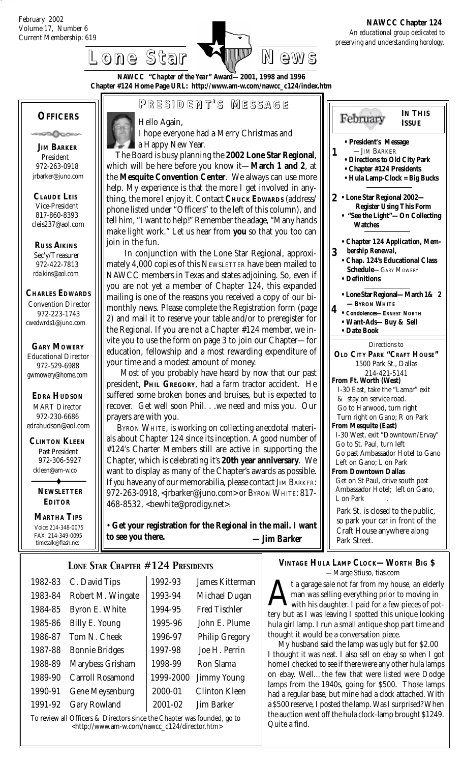Current Membership: 619 *An educational group dedicated to preserving and understanding horology.*  **NAWCC Chapter 124**

# **Lone Star Lone Star News**

**NAWCC "***Chapter of the Year***" Award—2001, 1998 and 1996 Chapter #124 Home Page URL: http://www.am-w.com/nawcc\_c124/index.htm**

### **OFFICERS**

ര്ഥിക്ക

 **JIM BARKER** President 972-263-0918 jrbarker@juno.com

 **CLAUDE LEIS** Vice-President 817-860-8393 cleis237@aol.com

 **RUSS AIKINS** Sec'y/Treasurer 972-422-7813 rdaikins@aol.com

**CHARLES EDWARDS** Convention Director

 972-223-1743 cwedwrds1@juno.com

#### **GARY MOWERY** Educational Director

 972-529-6988 gwmowery@home.com

 **EDRA HUDSON** MART Director 972-230-6686 edrahudson@aol.com

 **CLINTON KLEEN** Past President 972-306-5927 ckleen@am-w.co

> **NEWSLETTER EDITOR**

 **MARTHA TIPS** Voice: 214-348-0075 FAX: 214-349-0095 timetalk@flash.net



# **P RESIDENT RESIDENT' S M ESSAGE**

Hello Again,

 I hope everyone had a Merry Christmas and a Happy New Year.

The Board is busy planning the **2002 Lone Star Regional**, which will be here before you know it—March 1 and 2, a the Mesquite Convention Center. We always can use mor help. My experience is that the more I get involved in any thing, the more I enjoy it. Contact CHUCK EDWARDS (address phone listed under "Officers" to the left of this column), and tell him, "I want to help!" Remember the adage, "Many hand make light work." Let us hear from **you** so that you too can join in the fun.

In conjunction with the Lone Star Regional, approximately 4,000 copies of this NEWSLETTER have been mailed to NAWCC members in Texas and states adjoining. So, even you are not yet a member of Chapter 124, this expanded mailing is one of the reasons you received a copy of our bimonthly news. Please complete the Registration form (pag 2) and mail it to reserve your table and/or to preregister fo the Regional. If you are not a Chapter #124 member, we invite you to use the form on page 3 to join our Chapter-foreducation, fellowship and a most rewarding expenditure of your time and a modest amount of money.

Most of you probably have heard by now that our pas president, PHIL GREGORY, had a farm tractor accident. H suffered some broken bones and bruises, but is expected to recover. Get well soon Phil. . .we need and miss you. Ou prayers are with you.

 BYRON WHITE, is working on collecting anecdotal materials about Chapter 124 since its inception. A good number of #124's Charter Members still are active in supporting the Chapter, which is celebrating it's 20th year anniversary. W want to display as many of the Chapter's awards as possible. If *you* have any of our memorabilia, please contact JIM BARKER: 972-263-0918, <jrbarker@juno.com> or BYRON WHITE: 817- 468-8532, <bewhite@prodigy.net>.

Get your registration for the Regional in the mail. I wan **to see you there.** *—Jim Barker*

# *LONE STAR CHAPTER #124 PRESIDENTS*

| 1982-83 | C. David Tips           | 1992-93   | James Kitterman       |
|---------|-------------------------|-----------|-----------------------|
| 1983-84 | Robert M. Wingate       | 1993-94   | Michael Dugan         |
| 1984-85 | Byron E. White          | 1994-95   | <b>Fred Tischler</b>  |
| 1985-86 | Billy E. Young          | 1995-96   | John E. Plume         |
| 1986-87 | Tom N. Cheek            | 1996-97   | <b>Philip Gregory</b> |
| 1987-88 | <b>Bonnie Bridges</b>   | 1997-98   | Joe H. Perrin         |
| 1988-89 | Marybess Grisham        | 1998-99   | Ron Slama             |
| 1989-90 | <b>Carroll Rosamond</b> | 1999-2000 | <b>Jimmy Young</b>    |
| 1990-91 | <b>Gene Meysenburg</b>  | 2000-01   | <b>Clinton Kleen</b>  |
| 1991-92 | <b>Gary Rowland</b>     | 2001-02   | <b>Jim Barker</b>     |
|         |                         |           |                       |

To review all Officers & Directors since the Chapter was founded, go to  $\left\{\text{Lip.}/\text{/www.am-w.com/nawcc_c124/director.htm}\right\}$  Quite a find.

|                                          | <b>IN THIS</b><br>February<br><b>ISSUE</b>                                                                                                  |
|------------------------------------------|---------------------------------------------------------------------------------------------------------------------------------------------|
| l,<br>at<br>$\mathbf{e}$                 | • President's Message<br>-JIM BARKER<br>1<br>• Directions to Old City Park<br>• Chapter #124 Presidents<br>• Hula Lamp-Clock = Big Bucks    |
| /-<br>s/<br>d<br>ls<br>n                 | 2 • Lone Star Regional 2002-<br><b>Register Using This Form</b><br>"See the Light"-On Collecting<br><b>Watches</b>                          |
| i-<br>$\overline{\mathbf{0}}$<br>if<br>d | • Chapter 124 Application, Mem-<br>bership Renewal,<br>3<br>• Chap. 124's Educational Class<br><b>Schedule-GARY MOWERY</b><br>• Definitions |
| i-<br>ţе<br>οr<br>$\mathbf{I}$ -         | • Lone Star Regional-March 1& 2<br>-BYRON WHITE<br>4<br>• Condolences-ERNEST NORTH<br>· Want-Ads-Buy & Sell<br>• Date Book                  |
| )r<br>эf                                 | Directions to<br>OLD CITY PARK "CRAFT HOUSE"<br>1500 Park St., Dallas                                                                       |
| st<br>[e                                 | 214-421-5141<br>From Ft. Worth (West)<br>I-30 East, take the "Lamar" exit                                                                   |
| Ö<br>ır                                  | & stay on service road.<br>Go to Harwood, turn right<br>Turn right on Gano; R on Park                                                       |
| i-<br>эf                                 | <b>From Mesquite (East)</b><br>I-30 West, exit "Downtown/Ervay"                                                                             |
| ιe<br>/e                                 | Go to St. Paul, turn left<br>Go past Ambassador Hotel to Gano<br>Left on Gano; L on Park                                                    |
| e.<br>R:<br>$\overline{\phantom{a}}$     | <b>From Downtown Dallas</b><br>Get on St Paul, drive south past<br>Ambassador Hotel; left on Gano,<br>L on Park                             |
| ıt                                       | Park St. is closed to the public,<br>so park your car in front of the<br>Craft House anywhere along<br>Park Street.                         |

#### **VINTAGE HULA LAMP CLOCK—WORTH BIG \$** —Marge Stiuso, tias.com

t a garage sale not far from my house, an elderly man was selling everything prior to moving in with his daughter. I paid for a few pieces of pottery but as I was leaving I spotted this unique looking hula girl lamp. I run a small antique shop part time and thought it would be a conversation piece.

 My husband said the lamp was ugly but for \$2.00 I thought it was neat. I also sell on ebay so when I got home I checked to see if there were any other hula lamps on ebay. Well…the few that were listed were Dodge lamps from the 1940s, going for \$500. Those lamps had a regular base, but mine had a *clock* attached. With a \$500 reserve, I posted the lamp. Was I surprised? When the auction went off the hula clock-lamp brought \$1249.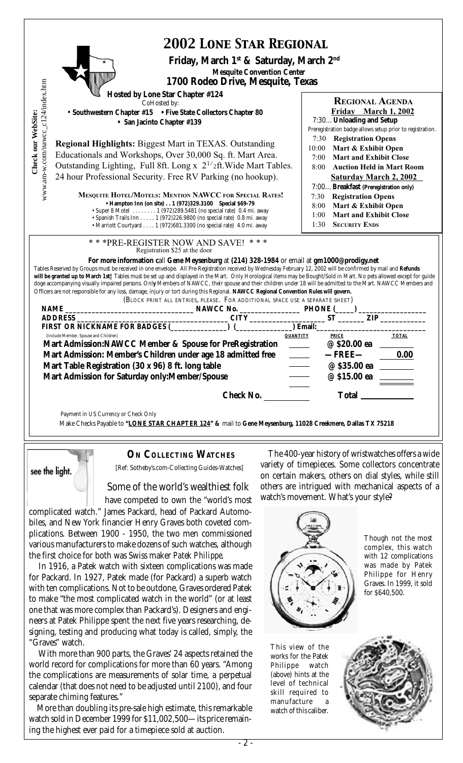| <b>2002 LONE STAR REGIONAL</b><br>Friday, March 1 <sup>st</sup> & Saturday, March 2 <sup>nd</sup>                                                                                                                                                                                                                                                                                                                                                                                                                                                                                                                                                                                                                                                                                                                                                              |                                                                                                                                                                                                                                                                                                                                                                                                             |
|----------------------------------------------------------------------------------------------------------------------------------------------------------------------------------------------------------------------------------------------------------------------------------------------------------------------------------------------------------------------------------------------------------------------------------------------------------------------------------------------------------------------------------------------------------------------------------------------------------------------------------------------------------------------------------------------------------------------------------------------------------------------------------------------------------------------------------------------------------------|-------------------------------------------------------------------------------------------------------------------------------------------------------------------------------------------------------------------------------------------------------------------------------------------------------------------------------------------------------------------------------------------------------------|
| <b>Mesquite Convention Center</b><br>1700 Rodeo Drive, Mesquite, Texas                                                                                                                                                                                                                                                                                                                                                                                                                                                                                                                                                                                                                                                                                                                                                                                         |                                                                                                                                                                                                                                                                                                                                                                                                             |
| www.am-w.com/nawcc_c124/index.htm<br><b>Hosted by Lone Star Chapter #124</b><br>CoHosted by:<br>Check our WebSite:<br>• Southwestern Chapter #15 • Five State Collectors Chapter 80<br>• San Jacinto Chapter #139<br><b>Regional Highlights: Biggest Mart in TEXAS. Outstanding</b><br>Educationals and Workshops, Over 30,000 Sq. ft. Mart Area.<br>Outstanding Lighting, Full 8ft. Long x 2 <sup>1/</sup> 2ft. Wide Mart Tables.<br>24 hour Professional Security. Free RV Parking (no hookup).<br><b>MESQUITE HOTEL/MOTELS: MENTION NAWCC FOR SPECIAL RATES!</b><br>• Hampton Inn (on site) 1 (972) 329.3100 Special \$69-79                                                                                                                                                                                                                                | <b>REGIONAL AGENDA</b><br>Friday March 1, 2002<br>7:30Unloading and Setup<br>Preregistration badge allows setup prior to registration.<br><b>Registration Opens</b><br>7:30<br>10:00 Mart & Exhibit Open<br>7:00<br><b>Mart and Exhibit Close</b><br>8:00<br><b>Auction Held in Mart Room</b><br><b>Saturday March 2, 2002</b><br>7:00Breakfast (Preregistration only)<br><b>Registration Opens</b><br>7:30 |
| • Super 8 Motel 1 (972) 289.5481 (no special rate) 0.4 mi. away<br>· Spanish Trails Inn 1 (972)226.9800 (no special rate) 0.8 mi. away<br>• Marriott Courtyard 1 (972) 681.3300 (no special rate) 4.0 mi. away<br>*** PRE-REGISTER NOW AND SAVE! ***                                                                                                                                                                                                                                                                                                                                                                                                                                                                                                                                                                                                           | Mart & Exhibit Open<br>8:00<br><b>Mart and Exhibit Close</b><br>1:00<br><b>SECURITY ENDS</b><br>1:30                                                                                                                                                                                                                                                                                                        |
| Registration \$25 at the door<br>For more information call Gene Meysenburg at (214) 328-1984 or email at gm1000@prodigy.net<br>Tables Reserved by Groups must be received in one envelope. All Pre-Registration received by Wednesday February 12, 2002 will be confirmed by mail and Refunds<br>will be granted up to March 1st! Tables must be set up and displayed in the Mart. Only Horological items may be Bought/Sold in Mart. No pets allowed except for guide<br>doge accompanying visually impaired persons. Only Members of NAWCC, their spouse and their children under 18 will be admitted to the Mart. NAWCC Members and<br>Officers are not responsible for any loss, damage, injury or tort during this Regional. NAWCC Regional Convention Rules will govern.<br>(BLOCK PRINT ALL ENTRIES, PLEASE. FOR ADDITIONAL SPACE USE A SEPARATE SHEET) |                                                                                                                                                                                                                                                                                                                                                                                                             |
|                                                                                                                                                                                                                                                                                                                                                                                                                                                                                                                                                                                                                                                                                                                                                                                                                                                                |                                                                                                                                                                                                                                                                                                                                                                                                             |
| ADDRESS<br>FIRST OR NICKNAME FOR BADGES (COMPUTER TO REGALIZE THE CONDUCT OF STATE CONDUCT OF STATE OR NET AND CONDUCT OF STATE OF STATE OF STATE OF STATE OF STATE OF STATE OF STATE OF STATE OF STATE OF STATE OF STATE OF STA<br>(Include Member, Spouse and Children)<br><b>QUANTITY</b><br>Mart Admission:NAWCC Member & Spouse for PreRegistration ______<br>Mart Admission: Member's Children under age 18 admitted free<br>Mart Table Registration (30 x 96) 8 ft. long table                                                                                                                                                                                                                                                                                                                                                                          | ZIP<br>ST<br><b>PRICE</b><br><b>TOTAL</b><br>@ \$20.00 ea<br>$-$ FREE $-$<br>0.00<br>@ \$35.00 ea                                                                                                                                                                                                                                                                                                           |
| Mart Admission for Saturday only: Member/Spouse<br><b>Check No.</b>                                                                                                                                                                                                                                                                                                                                                                                                                                                                                                                                                                                                                                                                                                                                                                                            | @ \$15.00 ea<br><b>Total</b>                                                                                                                                                                                                                                                                                                                                                                                |
| Payment in US Currency or Check Only<br>Make Checks Payable to "LONE STAR CHAPTER 124" & mail to Gene Meysenburg, 11028 Creekmere, Dallas TX 75218                                                                                                                                                                                                                                                                                                                                                                                                                                                                                                                                                                                                                                                                                                             |                                                                                                                                                                                                                                                                                                                                                                                                             |



 **ON COLLECTING WATCHES** [Ref: Sotheby's.com-Collecting Guides-Watches]

#### Some of the world's wealthiest folk

 have competed to own the "world's most complicated watch." James Packard, head of Packard Automobiles, and New York financier Henry Graves both coveted complications. Between 1900 - 1950, the two men commissioned various manufacturers to make dozens of such watches, although the first choice for both was Swiss maker *Patek Philippe*.

In 1916, a Patek watch with sixteen complications was made for Packard. In 1927, Patek made (for Packard) a superb watch with ten complications. Not to be outdone, Graves ordered Patek to make "the most complicated watch in the world" (or at least one that was more complex than Packard's). Designers and engineers at Patek Philippe spent the next five years researching, designing, testing and producing what today is called, simply, the "Graves" watch.

With more than 900 parts, the Graves' 24 aspects retained the world record for complications for more than 60 years. "Among the complications are measurements of solar time, a perpetual calendar (that does not need to be adjusted until 2100), and four separate chiming features."

More than doubling its pre-sale high estimate, this remarkable watch sold in December 1999 for \$11,002,500—its price remaining the highest ever paid for a timepiece sold at auction.

The 400-year history of wristwatches offers a wide variety of timepieces. Some collectors concentrate on certain makers, others on dial styles, while still others are intrigued with mechanical aspects of a watch's movement. What's your style?



Though not the most complex, this watch with 12 complications was made by Patek Philippe for Henry Graves. In 1999, it sold for \$640,500.

This view of the works for the Patek Philippe watch (above) hints at the level of technical skill required to manufacture watch of this caliber.

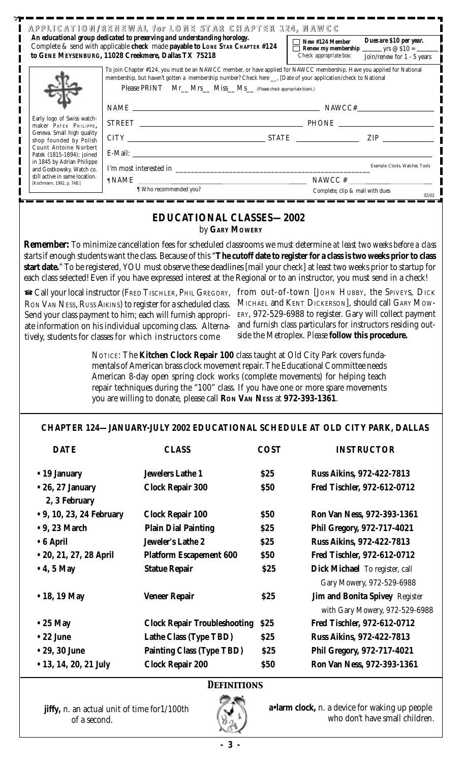|                                                             | An educational group dedicated to preserving and understanding horology.<br>Complete & send with applicable check made payable to LONE STAR CHAPTER #124<br>to GENE MEYSENBURG, 11028 Creekmere, Dallas TX 75218                                                                                                                                                                                                                                |             | New #124 Member<br>Check appropriate box:                   | Dues are \$10 per year.<br>Renew my membership ________ yrs $@$ \$10 = ______<br>Join/renew for 1 - 5 years |  |  |
|-------------------------------------------------------------|-------------------------------------------------------------------------------------------------------------------------------------------------------------------------------------------------------------------------------------------------------------------------------------------------------------------------------------------------------------------------------------------------------------------------------------------------|-------------|-------------------------------------------------------------|-------------------------------------------------------------------------------------------------------------|--|--|
|                                                             | To join Chapter #124, you must be an NAWCC member, or have applied for NAWCC membership. Have you applied for National<br>membership, but haven't gotten a membership number? Check here ___, [Date of your application/check to National<br>Please PRINT Mr_Mrs_Miss_Ms_(Please check appropriate blank.)                                                                                                                                      |             |                                                             |                                                                                                             |  |  |
|                                                             | $\label{eq:11} \text{NAME}\xspace = \xspace{5mm} \text{NAME} \xspace$                                                                                                                                                                                                                                                                                                                                                                           |             |                                                             |                                                                                                             |  |  |
| Early logo of Swiss watch-                                  |                                                                                                                                                                                                                                                                                                                                                                                                                                                 |             |                                                             |                                                                                                             |  |  |
| maker PATEK PHILIPPE,<br>Geneva. Small high quality         | $CITY$ $ZIP$                                                                                                                                                                                                                                                                                                                                                                                                                                    |             |                                                             |                                                                                                             |  |  |
| shop founded by Polish<br>Count Antoine Norbert             |                                                                                                                                                                                                                                                                                                                                                                                                                                                 |             |                                                             |                                                                                                             |  |  |
| Patek (1815-1894); joined<br>in 1845 by Adrian Philippe     |                                                                                                                                                                                                                                                                                                                                                                                                                                                 |             |                                                             |                                                                                                             |  |  |
| and Gostkowsky. Watch co.<br>still active in same location. |                                                                                                                                                                                                                                                                                                                                                                                                                                                 |             |                                                             |                                                                                                             |  |  |
| [Kochmann, 1992, p. 748.]                                   | $\begin{tabular}{ll} $\P$ NAME & \quad $\text{MWCC}~\text{\#} \quad $\text{MWCC}~\text{\#} \quad $\text{MWCC}~\text{\#} \quad $\text{MWCC}~\text{\#} \quad $\text{MWCC}~\text{\#} \quad $\text{MWCC}~\text{\#} \quad $\text{MWCC}~\text{\#} \quad $\text{MWCC}~\text{\#} \quad $\text{MWCC}~\text{\#} \quad $\text{MWCC}~\text{\#} \quad $\text{MWCC}~\text{\#} \quad $\text{MWCC}~\text{\#} \quad $\text{MWCC}~\text{\#} \quad $\text{MWCC}~\$ |             |                                                             |                                                                                                             |  |  |
|                                                             |                                                                                                                                                                                                                                                                                                                                                                                                                                                 |             |                                                             | 02/02                                                                                                       |  |  |
|                                                             | <b>EDUCATIONAL CLASSES-2002</b>                                                                                                                                                                                                                                                                                                                                                                                                                 |             |                                                             |                                                                                                             |  |  |
|                                                             | by GARY MOWERY                                                                                                                                                                                                                                                                                                                                                                                                                                  |             |                                                             |                                                                                                             |  |  |
|                                                             | <b>Remember:</b> To minimize cancellation fees for scheduled classrooms we <i>must</i> determine at least two weeks before a class                                                                                                                                                                                                                                                                                                              |             |                                                             |                                                                                                             |  |  |
|                                                             | startsif enough students want the class. Because of this "The cutoff date to register for a class is two weeks prior to class                                                                                                                                                                                                                                                                                                                   |             |                                                             |                                                                                                             |  |  |
|                                                             | start date." To be registered, YOU must observe these deadlines [mail your check] at least two weeks prior to startup for                                                                                                                                                                                                                                                                                                                       |             |                                                             |                                                                                                             |  |  |
|                                                             | each class selected! Even if you have expressed interest at the Regional or to an instructor, you must send in a check!                                                                                                                                                                                                                                                                                                                         |             |                                                             |                                                                                                             |  |  |
|                                                             | Gall your local instructor (FRED TISCHLER, PHIL GREGORY, from out-of-town [JOHN HUBBY, the SPIVEYS, DICK                                                                                                                                                                                                                                                                                                                                        |             |                                                             |                                                                                                             |  |  |
|                                                             | RON VAN NESS, RUSS AIKINS) to register for a scheduled class.                                                                                                                                                                                                                                                                                                                                                                                   |             | MICHAEL and KENT DICKERSON], should call GARY MOW-          |                                                                                                             |  |  |
| Send your class payment to him; each will furnish appropri- |                                                                                                                                                                                                                                                                                                                                                                                                                                                 |             |                                                             |                                                                                                             |  |  |
|                                                             |                                                                                                                                                                                                                                                                                                                                                                                                                                                 |             |                                                             |                                                                                                             |  |  |
|                                                             | ate information on his individual upcoming class. Alterna-                                                                                                                                                                                                                                                                                                                                                                                      |             | and furnish class particulars for instructors residing out- |                                                                                                             |  |  |
|                                                             | tively, students for classes for which instructors come                                                                                                                                                                                                                                                                                                                                                                                         |             | side the Metroplex. Please follow this procedure.           |                                                                                                             |  |  |
|                                                             | NOTICE: The Kitchen Clock Repair 100 class taught at Old City Park covers funda-                                                                                                                                                                                                                                                                                                                                                                |             |                                                             |                                                                                                             |  |  |
|                                                             | mentals of American brass clock movement repair. The Educational Committee needs                                                                                                                                                                                                                                                                                                                                                                |             |                                                             |                                                                                                             |  |  |
|                                                             | American 8-day open spring clock works (complete movements) for helping teach                                                                                                                                                                                                                                                                                                                                                                   |             |                                                             |                                                                                                             |  |  |
|                                                             | repair techniques during the "100" class. If you have one or more spare movements<br>you are willing to donate, please call RON VAN NESS at 972-393-1361.                                                                                                                                                                                                                                                                                       |             |                                                             |                                                                                                             |  |  |
|                                                             |                                                                                                                                                                                                                                                                                                                                                                                                                                                 |             |                                                             |                                                                                                             |  |  |
| <b>DATE</b>                                                 | CHAPTER 124-JANUARY-JULY 2002 EDUCATIONAL SCHEDULE AT OLD CITY PARK, DALLAS<br><b>CLASS</b>                                                                                                                                                                                                                                                                                                                                                     | <b>COST</b> |                                                             | <b>INSTRUCTOR</b>                                                                                           |  |  |
|                                                             |                                                                                                                                                                                                                                                                                                                                                                                                                                                 |             |                                                             |                                                                                                             |  |  |
| • 19 January                                                | <b>Jewelers Lathe 1</b>                                                                                                                                                                                                                                                                                                                                                                                                                         | \$25        | Russ Aikins, 972-422-7813                                   |                                                                                                             |  |  |
| $\bullet$ 26, 27 January                                    | <b>Clock Repair 300</b>                                                                                                                                                                                                                                                                                                                                                                                                                         | <b>\$50</b> |                                                             | Fred Tischler, 972-612-0712                                                                                 |  |  |
| 2, 3 February                                               |                                                                                                                                                                                                                                                                                                                                                                                                                                                 |             |                                                             |                                                                                                             |  |  |
| • 9, 10, 23, 24 February                                    | <b>Clock Repair 100</b>                                                                                                                                                                                                                                                                                                                                                                                                                         | \$50        |                                                             | Ron Van Ness, 972-393-1361                                                                                  |  |  |
| $\bullet$ 9, 23 March                                       | <b>Plain Dial Painting</b>                                                                                                                                                                                                                                                                                                                                                                                                                      | \$25        | Phil Gregory, 972-717-4021                                  |                                                                                                             |  |  |
| • 6 April                                                   | Jeweler's Lathe 2                                                                                                                                                                                                                                                                                                                                                                                                                               | \$25        | <b>Russ Aikins, 972-422-7813</b>                            |                                                                                                             |  |  |
| • 20, 21, 27, 28 April                                      | <b>Platform Escapement 600</b>                                                                                                                                                                                                                                                                                                                                                                                                                  | \$50        |                                                             | Fred Tischler, 972-612-0712                                                                                 |  |  |
| $\bullet$ 4, 5 May                                          | <b>Statue Repair</b>                                                                                                                                                                                                                                                                                                                                                                                                                            | \$25        | Dick Michael To register, call                              |                                                                                                             |  |  |
|                                                             |                                                                                                                                                                                                                                                                                                                                                                                                                                                 |             |                                                             | Gary Mowery, 972-529-6988                                                                                   |  |  |
| • 18, 19 May                                                | <b>Veneer Repair</b>                                                                                                                                                                                                                                                                                                                                                                                                                            | \$25        |                                                             | Jim and Bonita Spivey Register                                                                              |  |  |
|                                                             |                                                                                                                                                                                                                                                                                                                                                                                                                                                 |             |                                                             |                                                                                                             |  |  |
| $\bullet$ 25 May                                            | <b>Clock Repair Troubleshooting</b>                                                                                                                                                                                                                                                                                                                                                                                                             | \$25        |                                                             | Fred Tischler, 972-612-0712                                                                                 |  |  |
| $\bullet$ 22 June                                           | Lathe Class (Type TBD)                                                                                                                                                                                                                                                                                                                                                                                                                          | \$25        | <b>Russ Aikins, 972-422-7813</b>                            | ERY, 972-529-6988 to register. Gary will collect payment<br>with Gary Mowery, 972-529-6988                  |  |  |

## *Definitions*

 **• 13, 14, 20, 21 July Clock Repair 200 \$50 Ron Van Ness, 972-393-1361**

**jiffy,** n. an actual unit of time for1/100th of a second.

**a•larm clock,** n. a device for waking up people who don't have small children.